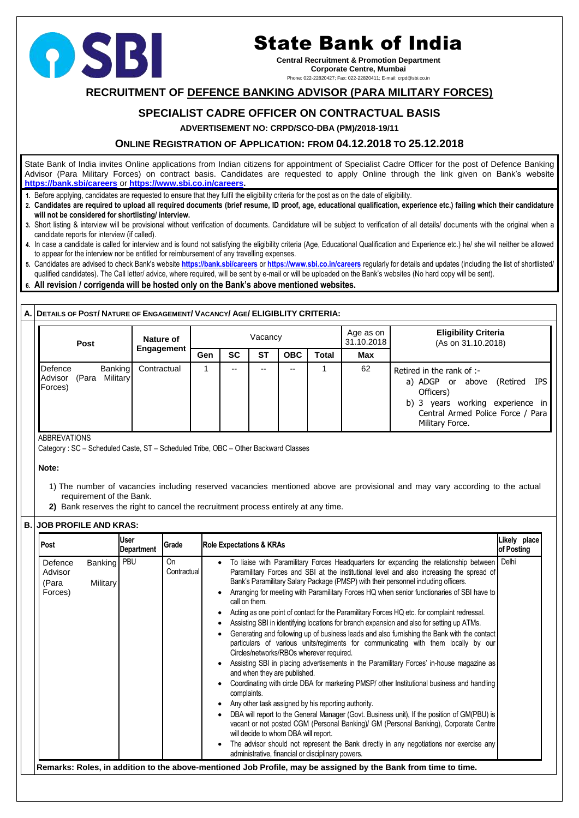# **RECRUITMENT OF DEFENCE BANKING ADVISOR (PARA MILITARY FORCES)**

# **SPECIALIST CADRE OFFICER ON CONTRACTUAL BASIS**

**ADVERTISEMENT NO: CRPD/SCO-DBA (PM)/2018-19/11**

## **ONLINE REGISTRATION OF APPLICATION: FROM 04.12.2018 TO 25.12.2018**

State Bank of India invites Online applications from Indian citizens for appointment of Specialist Cadre Officer for the post of Defence Banking Advisor (Para Military Forces) on contract basis. Candidates are requested to apply Online through the link given on Bank's website **<https://bank.sbi/careers>** or **[https://www.sbi.co.in/careers.](https://www.sbi.co.in/careers)**

- **1.** Before applying, candidates are requested to ensure that they fulfil the eligibility criteria for the post as on the date of eligibility.
- **2. Candidates are required to upload all required documents (brief resume, ID proof, age, educational qualification, experience etc.) failing which their candidature will not be considered for shortlisting/ interview.**
- **3.** Short listing & interview will be provisional without verification of documents. Candidature will be subject to verification of all details/ documents with the original when a candidate reports for interview (if called).
- **4.** In case a candidate is called for interview and is found not satisfying the eligibility criteria (Age, Educational Qualification and Experience etc.) he/ she will neither be allowed to appear for the interview nor be entitled for reimbursement of any travelling expenses.
- **5.** Candidates are advised to check Bank's website **<https://bank.sbi/careers>** or **<https://www.sbi.co.in/careers>** regularly for details and updates (including the list of shortlisted/ qualified candidates). The Call letter/ advice, where required, will be sent by e-mail or will be uploaded on the Bank's websites (No hard copy will be sent).
- **6. All revision / corrigenda will be hosted only on the Bank's above mentioned websites.**

| <b>Post</b>                            | Nature of                                        |     |           | Vacancy   |            |              | Age as on<br>31.10.2018<br><b>Max</b><br>62 | <b>Eligibility Criteria</b><br>(As on 31.10.2018)                                                                                                                       |
|----------------------------------------|--------------------------------------------------|-----|-----------|-----------|------------|--------------|---------------------------------------------|-------------------------------------------------------------------------------------------------------------------------------------------------------------------------|
|                                        | <b>Engagement</b>                                | Gen | <b>SC</b> | <b>ST</b> | <b>OBC</b> | <b>Total</b> |                                             |                                                                                                                                                                         |
| Defence<br>Advisor<br>(Para<br>Forces) | <b>Banking</b><br>Contractual<br><b>Military</b> |     | $- -$     | $- -$     | --         |              |                                             | Retired in the rank of :-<br>(Retired IPS)<br>a) ADGP or above<br>Officers)<br>b) 3 years working experience in<br>Central Armed Police Force / Para<br>Military Force. |

ABBREVATIONS

Category : SC – Scheduled Caste, ST – Scheduled Tribe, OBC – Other Backward Classes

**Note:**

- 1) The number of vacancies including reserved vacancies mentioned above are provisional and may vary according to the actual requirement of the Bank.
- **2)** Bank reserves the right to cancel the recruitment process entirely at any time.

### **B. JOB PROFILE AND KRAS:**

| Post                                                                       | <b>User</b><br>Grade<br>Department |                   | Likely place<br><b>Role Expectations &amp; KRAs</b><br>of Posting                                                                                                                                                                                                                                                                                                                                                                                                                                                                                                                                                                                                                                                                                                                                                                                                                                                                                                                                                                                                                                                                                                                                                                                                                                                                                                                                                                                                                                  |       |  |  |
|----------------------------------------------------------------------------|------------------------------------|-------------------|----------------------------------------------------------------------------------------------------------------------------------------------------------------------------------------------------------------------------------------------------------------------------------------------------------------------------------------------------------------------------------------------------------------------------------------------------------------------------------------------------------------------------------------------------------------------------------------------------------------------------------------------------------------------------------------------------------------------------------------------------------------------------------------------------------------------------------------------------------------------------------------------------------------------------------------------------------------------------------------------------------------------------------------------------------------------------------------------------------------------------------------------------------------------------------------------------------------------------------------------------------------------------------------------------------------------------------------------------------------------------------------------------------------------------------------------------------------------------------------------------|-------|--|--|
| Banking   PBU<br>Defence<br>Advisor<br><b>Military</b><br>(Para<br>Forces) |                                    | On<br>Contractual | To liaise with Paramilitary Forces Headquarters for expanding the relationship between<br>Paramilitary Forces and SBI at the institutional level and also increasing the spread of<br>Bank's Paramilitary Salary Package (PMSP) with their personnel including officers.<br>Arranging for meeting with Paramilitary Forces HQ when senior functionaries of SBI have to<br>call on them.<br>Acting as one point of contact for the Paramilitary Forces HQ etc. for complaint redressal.<br>Assisting SBI in identifying locations for branch expansion and also for setting up ATMs.<br>Generating and following up of business leads and also furnishing the Bank with the contact<br>particulars of various units/regiments for communicating with them locally by our<br>Circles/networks/RBOs wherever required.<br>Assisting SBI in placing advertisements in the Paramilitary Forces' in-house magazine as<br>and when they are published.<br>Coordinating with circle DBA for marketing PMSP/ other Institutional business and handling<br>complaints.<br>Any other task assigned by his reporting authority.<br>DBA will report to the General Manager (Govt. Business unit), If the position of GM(PBU) is<br>vacant or not posted CGM (Personal Banking)/ GM (Personal Banking), Corporate Centre<br>will decide to whom DBA will report.<br>The advisor should not represent the Bank directly in any negotiations nor exercise any<br>administrative, financial or disciplinary powers. | Delhi |  |  |



# State Bank of India

**Central Recruitment & Promotion Department Corporate Centre, Mumbai**

Phone: 022-22820427; Fax: 022-22820411; E-mail: crpd@sbi.co.in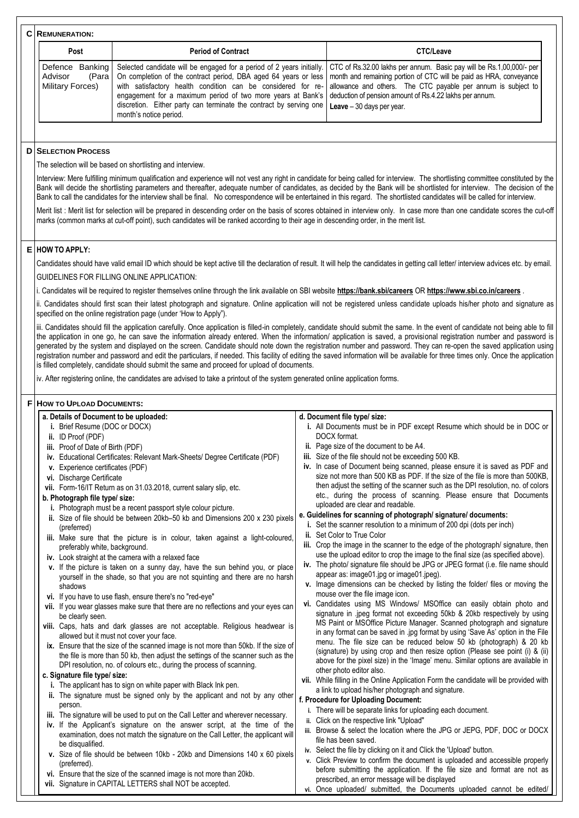|                                                   | <b>C</b> REMUNERATION:                                                                                                                                                                                                                         |                                                                                                                                                                                                                                                                                                                                                                         |  |                                                                                                                                                                                                                                                                                                                                                                                                                                                                                                                                                                                                                                                                                                                         |  |  |
|---------------------------------------------------|------------------------------------------------------------------------------------------------------------------------------------------------------------------------------------------------------------------------------------------------|-------------------------------------------------------------------------------------------------------------------------------------------------------------------------------------------------------------------------------------------------------------------------------------------------------------------------------------------------------------------------|--|-------------------------------------------------------------------------------------------------------------------------------------------------------------------------------------------------------------------------------------------------------------------------------------------------------------------------------------------------------------------------------------------------------------------------------------------------------------------------------------------------------------------------------------------------------------------------------------------------------------------------------------------------------------------------------------------------------------------------|--|--|
|                                                   | <b>Post</b>                                                                                                                                                                                                                                    | <b>Period of Contract</b>                                                                                                                                                                                                                                                                                                                                               |  | <b>CTC/Leave</b>                                                                                                                                                                                                                                                                                                                                                                                                                                                                                                                                                                                                                                                                                                        |  |  |
|                                                   | Defence Banking<br>Advisor<br>(Para<br><b>Military Forces)</b>                                                                                                                                                                                 | Selected candidate will be engaged for a period of 2 years initially.<br>On completion of the contract period, DBA aged 64 years or less<br>with satisfactory health condition can be considered for re-<br>engagement for a maximum period of two more years at Bank's<br>discretion. Either party can terminate the contract by serving one<br>month's notice period. |  | CTC of Rs.32.00 lakhs per annum. Basic pay will be Rs.1,00,000/- per<br>month and remaining portion of CTC will be paid as HRA, conveyance<br>allowance and others. The CTC payable per annum is subject to<br>deduction of pension amount of Rs.4.22 lakhs per annum.<br>Leave $-30$ days per year.                                                                                                                                                                                                                                                                                                                                                                                                                    |  |  |
|                                                   |                                                                                                                                                                                                                                                |                                                                                                                                                                                                                                                                                                                                                                         |  |                                                                                                                                                                                                                                                                                                                                                                                                                                                                                                                                                                                                                                                                                                                         |  |  |
|                                                   | <b>D SELECTION PROCESS</b>                                                                                                                                                                                                                     |                                                                                                                                                                                                                                                                                                                                                                         |  |                                                                                                                                                                                                                                                                                                                                                                                                                                                                                                                                                                                                                                                                                                                         |  |  |
|                                                   |                                                                                                                                                                                                                                                | The selection will be based on shortlisting and interview.                                                                                                                                                                                                                                                                                                              |  |                                                                                                                                                                                                                                                                                                                                                                                                                                                                                                                                                                                                                                                                                                                         |  |  |
|                                                   |                                                                                                                                                                                                                                                |                                                                                                                                                                                                                                                                                                                                                                         |  | Interview: Mere fulfilling minimum qualification and experience will not vest any right in candidate for being called for interview. The shortlisting committee constituted by the<br>Bank will decide the shortlisting parameters and thereafter, adequate number of candidates, as decided by the Bank will be shortlisted for interview. The decision of the<br>Bank to call the candidates for the interview shall be final. No correspondence will be entertained in this regard. The shortlisted candidates will be called for interview.                                                                                                                                                                         |  |  |
|                                                   |                                                                                                                                                                                                                                                | marks (common marks at cut-off point), such candidates will be ranked according to their age in descending order, in the merit list.                                                                                                                                                                                                                                    |  | Merit list: Merit list for selection will be prepared in descending order on the basis of scores obtained in interview only. In case more than one candidate scores the cut-off                                                                                                                                                                                                                                                                                                                                                                                                                                                                                                                                         |  |  |
|                                                   | $E$ HOW TO APPLY:                                                                                                                                                                                                                              |                                                                                                                                                                                                                                                                                                                                                                         |  |                                                                                                                                                                                                                                                                                                                                                                                                                                                                                                                                                                                                                                                                                                                         |  |  |
|                                                   |                                                                                                                                                                                                                                                |                                                                                                                                                                                                                                                                                                                                                                         |  | Candidates should have valid email ID which should be kept active till the declaration of result. It will help the candidates in getting call letter/ interview advices etc. by email.                                                                                                                                                                                                                                                                                                                                                                                                                                                                                                                                  |  |  |
| <b>GUIDELINES FOR FILLING ONLINE APPLICATION:</b> |                                                                                                                                                                                                                                                |                                                                                                                                                                                                                                                                                                                                                                         |  |                                                                                                                                                                                                                                                                                                                                                                                                                                                                                                                                                                                                                                                                                                                         |  |  |
|                                                   | i. Candidates will be required to register themselves online through the link available on SBI website https://bank.sbi/careers OR https://www.sbi.co.in/careers .                                                                             |                                                                                                                                                                                                                                                                                                                                                                         |  |                                                                                                                                                                                                                                                                                                                                                                                                                                                                                                                                                                                                                                                                                                                         |  |  |
|                                                   | ii. Candidates should first scan their latest photograph and signature. Online application will not be registered unless candidate uploads his/her photo and signature as<br>specified on the online registration page (under 'How to Apply"). |                                                                                                                                                                                                                                                                                                                                                                         |  |                                                                                                                                                                                                                                                                                                                                                                                                                                                                                                                                                                                                                                                                                                                         |  |  |
|                                                   |                                                                                                                                                                                                                                                | is filled completely, candidate should submit the same and proceed for upload of documents.<br>iv. After registering online, the candidates are advised to take a printout of the system generated online application forms.                                                                                                                                            |  | iii. Candidates should fill the application carefully. Once application is filled-in completely, candidate should submit the same. In the event of candidate not being able to fill<br>the application in one go, he can save the information already entered. When the information/ application is saved, a provisional registration number and password is<br>generated by the system and displayed on the screen. Candidate should note down the registration number and password. They can re-open the saved application using<br>registration number and password and edit the particulars, if needed. This facility of editing the saved information will be available for three times only. Once the application |  |  |
|                                                   |                                                                                                                                                                                                                                                |                                                                                                                                                                                                                                                                                                                                                                         |  |                                                                                                                                                                                                                                                                                                                                                                                                                                                                                                                                                                                                                                                                                                                         |  |  |
|                                                   | <b>F HOW TO UPLOAD DOCUMENTS:</b>                                                                                                                                                                                                              |                                                                                                                                                                                                                                                                                                                                                                         |  |                                                                                                                                                                                                                                                                                                                                                                                                                                                                                                                                                                                                                                                                                                                         |  |  |
|                                                   | a. Details of Document to be uploaded:<br>i. Brief Resume (DOC or DOCX)<br>ii. ID Proof (PDF)<br>iii. Proof of Date of Birth (PDF)                                                                                                             | iv. Educational Certificates: Relevant Mark-Sheets/ Degree Certificate (PDF)                                                                                                                                                                                                                                                                                            |  | d. Document file type/ size:<br>i. All Documents must be in PDF except Resume which should be in DOC or<br>DOCX format.<br>ii. Page size of the document to be A4.<br>iii. Size of the file should not be exceeding 500 KB.<br>iv. In case of Document being scanned, please ensure it is saved as PDF and                                                                                                                                                                                                                                                                                                                                                                                                              |  |  |
|                                                   | v. Experience certificates (PDF)<br>vi. Discharge Certificate<br>b. Photograph file type/ size:                                                                                                                                                | vii. Form-16/IT Return as on 31.03.2018, current salary slip, etc.<br>i. Photograph must be a recent passport style colour picture.                                                                                                                                                                                                                                     |  | size not more than 500 KB as PDF. If the size of the file is more than 500KB,<br>then adjust the setting of the scanner such as the DPI resolution, no. of colors<br>etc., during the process of scanning. Please ensure that Documents<br>uploaded are clear and readable.                                                                                                                                                                                                                                                                                                                                                                                                                                             |  |  |
|                                                   | (preferred)<br>preferably white, background.                                                                                                                                                                                                   | ii. Size of file should be between 20kb-50 kb and Dimensions 200 x 230 pixels<br>iii. Make sure that the picture is in colour, taken against a light-coloured,                                                                                                                                                                                                          |  | e. Guidelines for scanning of photograph/ signature/ documents:<br>i. Set the scanner resolution to a minimum of 200 dpi (dots per inch)<br>ii. Set Color to True Color<br>iii. Crop the image in the scanner to the edge of the photograph/ signature, then<br>use the upload editor to crop the image to the final size (as specified above).                                                                                                                                                                                                                                                                                                                                                                         |  |  |
|                                                   | shadows                                                                                                                                                                                                                                        | iv. Look straight at the camera with a relaxed face<br>v. If the picture is taken on a sunny day, have the sun behind you, or place<br>yourself in the shade, so that you are not squinting and there are no harsh                                                                                                                                                      |  | iv. The photo/ signature file should be JPG or JPEG format (i.e. file name should<br>appear as: image01 jpg or image01 jpeg).<br>v. Image dimensions can be checked by listing the folder/ files or moving the<br>mouse over the file image icon.                                                                                                                                                                                                                                                                                                                                                                                                                                                                       |  |  |
|                                                   | be clearly seen.                                                                                                                                                                                                                               | vi. If you have to use flash, ensure there's no "red-eye"<br>vii. If you wear glasses make sure that there are no reflections and your eyes can                                                                                                                                                                                                                         |  | vi. Candidates using MS Windows/ MSOffice can easily obtain photo and<br>signature in .jpeg format not exceeding 50kb & 20kb respectively by using                                                                                                                                                                                                                                                                                                                                                                                                                                                                                                                                                                      |  |  |

- 
- **viii.** Caps, hats and dark glasses are not acceptable. Religious headwear is allowed but it must not cover your face.
- **ix.** Ensure that the size of the scanned image is not more than 50kb. If the size of the file is more than 50 kb, then adjust the settings of the scanner such as the DPI resolution, no. of colours etc., during the process of scanning.

#### **c. Signature file type/ size:**

- **i.** The applicant has to sign on white paper with Black Ink pen.
- **ii.** The signature must be signed only by the applicant and not by any other person.
- **iii.** The signature will be used to put on the Call Letter and wherever necessary.
- **iv.** If the Applicant's signature on the answer script, at the time of the examination, does not match the signature on the Call Letter, the applicant will be disqualified.
- **v.** Size of file should be between 10kb 20kb and Dimensions 140 x 60 pixels (preferred).
- **vi.** Ensure that the size of the scanned image is not more than 20kb.
- **vii.** Signature in CAPITAL LETTERS shall NOT be accepted.
- MS Paint or MSOffice Picture Manager. Scanned photograph and signature in any format can be saved in .jpg format by using 'Save As' option in the File menu. The file size can be reduced below 50 kb (photograph) & 20 kb (signature) by using crop and then resize option (Please see point (i) & (ii) above for the pixel size) in the 'Image' menu. Similar options are available in other photo editor also.
- **vii.** While filling in the Online Application Form the candidate will be provided with a link to upload his/her photograph and signature.

#### **f. Procedure for Uploading Document:**

- **i.** There will be separate links for uploading each document.
- **ii.** Click on the respective link "Upload"
- **iii.** Browse & select the location where the JPG or JEPG, PDF, DOC or DOCX file has been saved.
- **iv.** Select the file by clicking on it and Click the 'Upload' button.
- **v.** Click Preview to confirm the document is uploaded and accessible properly before submitting the application. If the file size and format are not as prescribed, an error message will be displayed
- **vi.** Once uploaded/ submitted, the Documents uploaded cannot be edited/